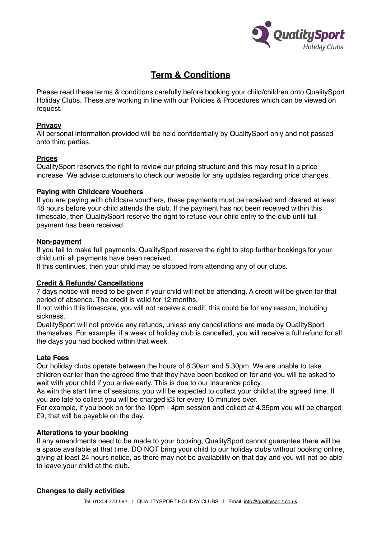

# **Term & Conditions**

Please read these terms & conditions carefully before booking your child/children onto QualitySport Holiday Clubs. These are working in line with our Policies & Procedures which can be viewed on request.

# **Privacy**

All personal information provided will be held confidentially by QualitySport only and not passed onto third parties.

## **Prices**

QualitySport reserves the right to review our pricing structure and this may result in a price increase. We advise customers to check our website for any updates regarding price changes.

## **Paying with Childcare Vouchers**

If you are paying with childcare vouchers, these payments must be received and cleared at least 48 hours before your child attends the club. If the payment has not been received within this timescale, then QualitySport reserve the right to refuse your child entry to the club until full payment has been received.

## **Non-payment**

If you fail to make full payments, QualitySport reserve the right to stop further bookings for your child until all payments have been received.

If this continues, then your child may be stopped from attending any of our clubs.

# **Credit & Refunds/ Cancellations**

7 days notice will need to be given if your child will not be attending. A credit will be given for that period of absence. The credit is valid for 12 months.

If not within this timescale, you will not receive a credit, this could be for any reason, including sickness.

QualitySport will not provide any refunds, unless any cancellations are made by QualitySport themselves. For example, if a week of holiday club is cancelled, you will receive a full refund for all the days you had booked within that week.

# **Late Fees**

Our holiday clubs operate between the hours of 8.30am and 5.30pm. We are unable to take children earlier than the agreed time that they have been booked on for and you will be asked to wait with your child if you arrive early. This is due to our insurance policy.

As with the start time of sessions, you will be expected to collect your child at the agreed time. If you are late to collect you will be charged £3 for every 15 minutes over.

For example, if you book on for the 10pm - 4pm session and collect at 4.35pm you will be charged £9, that will be payable on the day.

# **Alterations to your booking**

If any amendments need to be made to your booking, QualitySport cannot guarantee there will be a space available at that time. DO NOT bring your child to our holiday clubs without booking online, giving at least 24 hours notice, as there may not be availability on that day and you will not be able to leave your child at the club.

#### **Changes to daily activities**